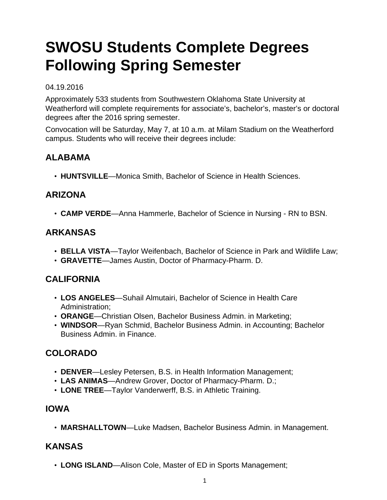# **SWOSU Students Complete Degrees Following Spring Semester**

#### 04.19.2016

Approximately 533 students from Southwestern Oklahoma State University at Weatherford will complete requirements for associate's, bachelor's, master's or doctoral degrees after the 2016 spring semester.

Convocation will be Saturday, May 7, at 10 a.m. at Milam Stadium on the Weatherford campus. Students who will receive their degrees include:

### **ALABAMA**

• **HUNTSVILLE**—Monica Smith, Bachelor of Science in Health Sciences.

### **ARIZONA**

• **CAMP VERDE**—Anna Hammerle, Bachelor of Science in Nursing - RN to BSN.

#### **ARKANSAS**

- **BELLA VISTA**—Taylor Weifenbach, Bachelor of Science in Park and Wildlife Law;
- **GRAVETTE**—James Austin, Doctor of Pharmacy-Pharm. D.

#### **CALIFORNIA**

- **LOS ANGELES**—Suhail Almutairi, Bachelor of Science in Health Care Administration;
- **ORANGE**—Christian Olsen, Bachelor Business Admin. in Marketing;
- **WINDSOR**—Ryan Schmid, Bachelor Business Admin. in Accounting; Bachelor Business Admin. in Finance.

# **COLORADO**

- **DENVER**—Lesley Petersen, B.S. in Health Information Management;
- **LAS ANIMAS**—Andrew Grover, Doctor of Pharmacy-Pharm. D.;
- **LONE TREE**—Taylor Vanderwerff, B.S. in Athletic Training.

#### **IOWA**

• **MARSHALLTOWN**—Luke Madsen, Bachelor Business Admin. in Management.

#### **KANSAS**

• **LONG ISLAND**—Alison Cole, Master of ED in Sports Management;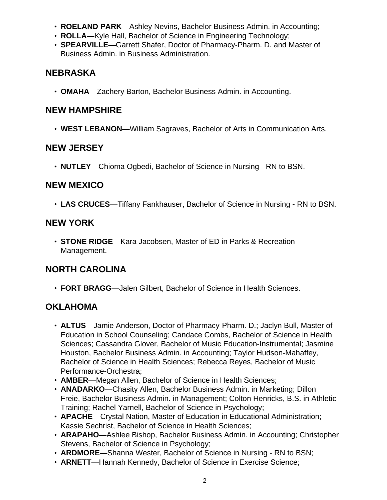- **ROELAND PARK**—Ashley Nevins, Bachelor Business Admin. in Accounting;
- **ROLLA**—Kyle Hall, Bachelor of Science in Engineering Technology;
- **SPEARVILLE**—Garrett Shafer, Doctor of Pharmacy-Pharm. D. and Master of Business Admin. in Business Administration.

# **NEBRASKA**

• **OMAHA**—Zachery Barton, Bachelor Business Admin. in Accounting.

#### **NEW HAMPSHIRE**

• **WEST LEBANON**—William Sagraves, Bachelor of Arts in Communication Arts.

#### **NEW JERSEY**

• **NUTLEY**—Chioma Ogbedi, Bachelor of Science in Nursing - RN to BSN.

#### **NEW MEXICO**

• **LAS CRUCES**—Tiffany Fankhauser, Bachelor of Science in Nursing - RN to BSN.

#### **NEW YORK**

• **STONE RIDGE**—Kara Jacobsen, Master of ED in Parks & Recreation Management.

# **NORTH CAROLINA**

• **FORT BRAGG**—Jalen Gilbert, Bachelor of Science in Health Sciences.

# **OKLAHOMA**

- **ALTUS**—Jamie Anderson, Doctor of Pharmacy-Pharm. D.; Jaclyn Bull, Master of Education in School Counseling; Candace Combs, Bachelor of Science in Health Sciences; Cassandra Glover, Bachelor of Music Education-Instrumental; Jasmine Houston, Bachelor Business Admin. in Accounting; Taylor Hudson-Mahaffey, Bachelor of Science in Health Sciences; Rebecca Reyes, Bachelor of Music Performance-Orchestra;
- **AMBER**—Megan Allen, Bachelor of Science in Health Sciences;
- **ANADARKO**—Chasity Allen, Bachelor Business Admin. in Marketing; Dillon Freie, Bachelor Business Admin. in Management; Colton Henricks, B.S. in Athletic Training; Rachel Yarnell, Bachelor of Science in Psychology;
- **APACHE**—Crystal Nation, Master of Education in Educational Administration; Kassie Sechrist, Bachelor of Science in Health Sciences;
- **ARAPAHO**—Ashlee Bishop, Bachelor Business Admin. in Accounting; Christopher Stevens, Bachelor of Science in Psychology;
- **ARDMORE**—Shanna Wester, Bachelor of Science in Nursing RN to BSN;
- **ARNETT**—Hannah Kennedy, Bachelor of Science in Exercise Science;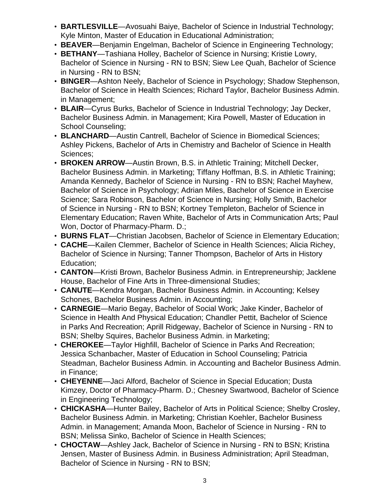- **BARTLESVILLE**—Avosuahi Baiye, Bachelor of Science in Industrial Technology; Kyle Minton, Master of Education in Educational Administration;
- **BEAVER**—Benjamin Engelman, Bachelor of Science in Engineering Technology;
- **BETHANY**—Tashiana Holley, Bachelor of Science in Nursing; Kristie Lowry, Bachelor of Science in Nursing - RN to BSN; Siew Lee Quah, Bachelor of Science in Nursing - RN to BSN;
- **BINGER**—Ashton Neely, Bachelor of Science in Psychology; Shadow Stephenson, Bachelor of Science in Health Sciences; Richard Taylor, Bachelor Business Admin. in Management;
- **BLAIR**—Cyrus Burks, Bachelor of Science in Industrial Technology; Jay Decker, Bachelor Business Admin. in Management; Kira Powell, Master of Education in School Counseling;
- **BLANCHARD**—Austin Cantrell, Bachelor of Science in Biomedical Sciences; Ashley Pickens, Bachelor of Arts in Chemistry and Bachelor of Science in Health Sciences;
- **BROKEN ARROW**—Austin Brown, B.S. in Athletic Training; Mitchell Decker, Bachelor Business Admin. in Marketing; Tiffany Hoffman, B.S. in Athletic Training; Amanda Kennedy, Bachelor of Science in Nursing - RN to BSN; Rachel Mayhew, Bachelor of Science in Psychology; Adrian Miles, Bachelor of Science in Exercise Science; Sara Robinson, Bachelor of Science in Nursing; Holly Smith, Bachelor of Science in Nursing - RN to BSN; Kortney Templeton, Bachelor of Science in Elementary Education; Raven White, Bachelor of Arts in Communication Arts; Paul Won, Doctor of Pharmacy-Pharm. D.;
- **BURNS FLAT**—Christian Jacobsen, Bachelor of Science in Elementary Education;
- **CACHE**—Kailen Clemmer, Bachelor of Science in Health Sciences; Alicia Richey, Bachelor of Science in Nursing; Tanner Thompson, Bachelor of Arts in History Education;
- **CANTON**—Kristi Brown, Bachelor Business Admin. in Entrepreneurship; Jacklene House, Bachelor of Fine Arts in Three-dimensional Studies;
- **CANUTE**—Kendra Morgan, Bachelor Business Admin. in Accounting; Kelsey Schones, Bachelor Business Admin. in Accounting;
- **CARNEGIE**—Mario Begay, Bachelor of Social Work; Jake Kinder, Bachelor of Science in Health And Physical Education; Chandler Pettit, Bachelor of Science in Parks And Recreation; Aprill Ridgeway, Bachelor of Science in Nursing - RN to BSN; Shelby Squires, Bachelor Business Admin. in Marketing;
- **CHEROKEE**—Taylor Highfill, Bachelor of Science in Parks And Recreation; Jessica Schanbacher, Master of Education in School Counseling; Patricia Steadman, Bachelor Business Admin. in Accounting and Bachelor Business Admin. in Finance;
- **CHEYENNE**—Jaci Alford, Bachelor of Science in Special Education; Dusta Kimzey, Doctor of Pharmacy-Pharm. D.; Chesney Swartwood, Bachelor of Science in Engineering Technology;
- **CHICKASHA**—Hunter Bailey, Bachelor of Arts in Political Science; Shelby Crosley, Bachelor Business Admin. in Marketing; Christian Koehler, Bachelor Business Admin. in Management; Amanda Moon, Bachelor of Science in Nursing - RN to BSN; Melissa Sinko, Bachelor of Science in Health Sciences;
- **CHOCTAW**—Ashley Jack, Bachelor of Science in Nursing RN to BSN; Kristina Jensen, Master of Business Admin. in Business Administration; April Steadman, Bachelor of Science in Nursing - RN to BSN;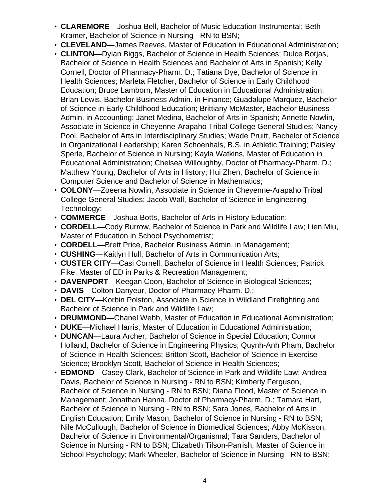- **CLAREMORE**—Joshua Bell, Bachelor of Music Education-Instrumental; Beth Kramer, Bachelor of Science in Nursing - RN to BSN;
- **CLEVELAND**—James Reeves, Master of Education in Educational Administration;
- **CLINTON**—Dylan Biggs, Bachelor of Science in Health Sciences; Dulce Borjas, Bachelor of Science in Health Sciences and Bachelor of Arts in Spanish; Kelly Cornell, Doctor of Pharmacy-Pharm. D.; Tatiana Dye, Bachelor of Science in Health Sciences; Marleta Fletcher, Bachelor of Science in Early Childhood Education; Bruce Lamborn, Master of Education in Educational Administration; Brian Lewis, Bachelor Business Admin. in Finance; Guadalupe Marquez, Bachelor of Science in Early Childhood Education; Brittiany McMaster, Bachelor Business Admin. in Accounting; Janet Medina, Bachelor of Arts in Spanish; Annette Nowlin, Associate in Science in Cheyenne-Arapaho Tribal College General Studies; Nancy Pool, Bachelor of Arts in Interdisciplinary Studies; Wade Pruitt, Bachelor of Science in Organizational Leadership; Karen Schoenhals, B.S. in Athletic Training; Paisley Sperle, Bachelor of Science in Nursing; Kayla Watkins, Master of Education in Educational Administration; Chelsea Willoughby, Doctor of Pharmacy-Pharm. D.; Matthew Young, Bachelor of Arts in History; Hui Zhen, Bachelor of Science in Computer Science and Bachelor of Science in Mathematics;
- **COLONY**—Zoeena Nowlin, Associate in Science in Cheyenne-Arapaho Tribal College General Studies; Jacob Wall, Bachelor of Science in Engineering Technology;
- **COMMERCE**—Joshua Botts, Bachelor of Arts in History Education;
- **CORDELL**—Cody Burrow, Bachelor of Science in Park and Wildlife Law; Lien Miu, Master of Education in School Psychometrist;
- **CORDELL**—Brett Price, Bachelor Business Admin. in Management;
- **CUSHING**—Kaitlyn Hull, Bachelor of Arts in Communication Arts;
- **CUSTER CITY**—Casi Cornell, Bachelor of Science in Health Sciences; Patrick Fike, Master of ED in Parks & Recreation Management;
- **DAVENPORT**—Keegan Coon, Bachelor of Science in Biological Sciences;
- **DAVIS**—Colton Danyeur, Doctor of Pharmacy-Pharm. D.;
- **DEL CITY**—Korbin Polston, Associate in Science in Wildland Firefighting and Bachelor of Science in Park and Wildlife Law;
- **DRUMMOND**—Chanel Webb, Master of Education in Educational Administration;
- **DUKE**—Michael Harris, Master of Education in Educational Administration;
- **DUNCAN**—Laura Archer, Bachelor of Science in Special Education; Connor Holland, Bachelor of Science in Engineering Physics; Quynh-Anh Pham, Bachelor of Science in Health Sciences; Britton Scott, Bachelor of Science in Exercise Science; Brooklyn Scott, Bachelor of Science in Health Sciences;
- **EDMOND**—Casey Clark, Bachelor of Science in Park and Wildlife Law; Andrea Davis, Bachelor of Science in Nursing - RN to BSN; Kimberly Ferguson, Bachelor of Science in Nursing - RN to BSN; Diana Flood, Master of Science in Management; Jonathan Hanna, Doctor of Pharmacy-Pharm. D.; Tamara Hart, Bachelor of Science in Nursing - RN to BSN; Sara Jones, Bachelor of Arts in English Education; Emily Mason, Bachelor of Science in Nursing - RN to BSN; Nile McCullough, Bachelor of Science in Biomedical Sciences; Abby McKisson, Bachelor of Science in Environmental/Organismal; Tara Sanders, Bachelor of Science in Nursing - RN to BSN; Elizabeth Tilson-Parrish, Master of Science in School Psychology; Mark Wheeler, Bachelor of Science in Nursing - RN to BSN;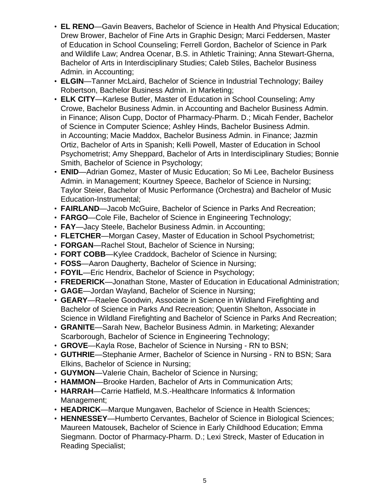- **EL RENO**—Gavin Beavers, Bachelor of Science in Health And Physical Education; Drew Brower, Bachelor of Fine Arts in Graphic Design; Marci Feddersen, Master of Education in School Counseling; Ferrell Gordon, Bachelor of Science in Park and Wildlife Law; Andrea Ocenar, B.S. in Athletic Training; Anna Stewart-Gherna, Bachelor of Arts in Interdisciplinary Studies; Caleb Stiles, Bachelor Business Admin. in Accounting;
- **ELGIN**—Tanner McLaird, Bachelor of Science in Industrial Technology; Bailey Robertson, Bachelor Business Admin. in Marketing;
- **ELK CITY**—Karlese Butler, Master of Education in School Counseling; Amy Crowe, Bachelor Business Admin. in Accounting and Bachelor Business Admin. in Finance; Alison Cupp, Doctor of Pharmacy-Pharm. D.; Micah Fender, Bachelor of Science in Computer Science; Ashley Hinds, Bachelor Business Admin. in Accounting; Macie Maddox, Bachelor Business Admin. in Finance; Jazmin Ortiz, Bachelor of Arts in Spanish; Kelli Powell, Master of Education in School Psychometrist; Amy Sheppard, Bachelor of Arts in Interdisciplinary Studies; Bonnie Smith, Bachelor of Science in Psychology;
- **ENID**—Adrian Gomez, Master of Music Education; So Mi Lee, Bachelor Business Admin. in Management; Kourtney Speece, Bachelor of Science in Nursing; Taylor Steier, Bachelor of Music Performance (Orchestra) and Bachelor of Music Education-Instrumental;
- **FAIRLAND**—Jacob McGuire, Bachelor of Science in Parks And Recreation;
- **FARGO**—Cole File, Bachelor of Science in Engineering Technology;
- **FAY**—Jacy Steele, Bachelor Business Admin. in Accounting;
- **FLETCHER**—Morgan Casey, Master of Education in School Psychometrist;
- **FORGAN**—Rachel Stout, Bachelor of Science in Nursing;
- **FORT COBB**—Kylee Craddock, Bachelor of Science in Nursing;
- **FOSS**—Aaron Daugherty, Bachelor of Science in Nursing;
- **FOYIL**—Eric Hendrix, Bachelor of Science in Psychology;
- **FREDERICK**—Jonathan Stone, Master of Education in Educational Administration;
- **GAGE**—Jordan Wayland, Bachelor of Science in Nursing;
- **GEARY**—Raelee Goodwin, Associate in Science in Wildland Firefighting and Bachelor of Science in Parks And Recreation; Quentin Shelton, Associate in Science in Wildland Firefighting and Bachelor of Science in Parks And Recreation;
- **GRANITE**—Sarah New, Bachelor Business Admin. in Marketing; Alexander Scarborough, Bachelor of Science in Engineering Technology;
- **GROVE**—Kayla Rose, Bachelor of Science in Nursing RN to BSN;
- **GUTHRIE**—Stephanie Armer, Bachelor of Science in Nursing RN to BSN; Sara Elkins, Bachelor of Science in Nursing;
- **GUYMON**—Valerie Chain, Bachelor of Science in Nursing;
- **HAMMON**—Brooke Harden, Bachelor of Arts in Communication Arts;
- **HARRAH**—Carrie Hatfield, M.S.-Healthcare Informatics & Information Management;
- **HEADRICK**—Marque Mungaven, Bachelor of Science in Health Sciences;
- **HENNESSEY**—Humberto Cervantes, Bachelor of Science in Biological Sciences; Maureen Matousek, Bachelor of Science in Early Childhood Education; Emma Siegmann. Doctor of Pharmacy-Pharm. D.; Lexi Streck, Master of Education in Reading Specialist;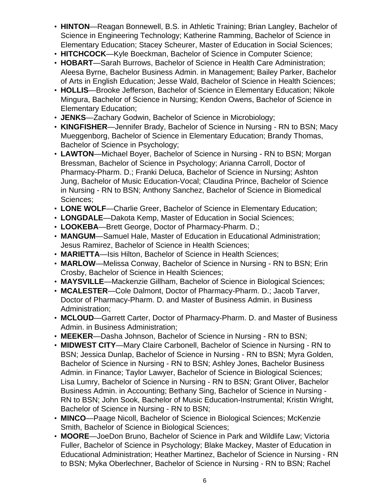- **HINTON**—Reagan Bonnewell, B.S. in Athletic Training; Brian Langley, Bachelor of Science in Engineering Technology; Katherine Ramming, Bachelor of Science in Elementary Education; Stacey Scheurer, Master of Education in Social Sciences;
- **HITCHCOCK**—Kyle Boeckman, Bachelor of Science in Computer Science;
- **HOBART**—Sarah Burrows, Bachelor of Science in Health Care Administration; Aleesa Byrne, Bachelor Business Admin. in Management; Bailey Parker, Bachelor of Arts in English Education; Jesse Wald, Bachelor of Science in Health Sciences;
- **HOLLIS**—Brooke Jefferson, Bachelor of Science in Elementary Education; Nikole Mingura, Bachelor of Science in Nursing; Kendon Owens, Bachelor of Science in Elementary Education;
- **JENKS**—Zachary Godwin, Bachelor of Science in Microbiology;
- **KINGFISHER**—Jennifer Brady, Bachelor of Science in Nursing RN to BSN; Macy Mueggenborg, Bachelor of Science in Elementary Education; Brandy Thomas, Bachelor of Science in Psychology;
- **LAWTON**—Michael Boyer, Bachelor of Science in Nursing RN to BSN; Morgan Bressman, Bachelor of Science in Psychology; Arianna Carroll, Doctor of Pharmacy-Pharm. D.; Franki Deluca, Bachelor of Science in Nursing; Ashton Jung, Bachelor of Music Education-Vocal; Claudina Prince, Bachelor of Science in Nursing - RN to BSN; Anthony Sanchez, Bachelor of Science in Biomedical Sciences;
- **LONE WOLF**—Charlie Greer, Bachelor of Science in Elementary Education;
- **LONGDALE**—Dakota Kemp, Master of Education in Social Sciences;
- **LOOKEBA**—Brett George, Doctor of Pharmacy-Pharm. D.;
- **MANGUM**—Samuel Hale, Master of Education in Educational Administration; Jesus Ramirez, Bachelor of Science in Health Sciences;
- **MARIETTA**—Isis Hilton, Bachelor of Science in Health Sciences;
- **MARLOW**—Melissa Conway, Bachelor of Science in Nursing RN to BSN; Erin Crosby, Bachelor of Science in Health Sciences;
- **MAYSVILLE**—Mackenzie Gillham, Bachelor of Science in Biological Sciences;
- **MCALESTER**—Cole Dalmont, Doctor of Pharmacy-Pharm. D.; Jacob Tarver, Doctor of Pharmacy-Pharm. D. and Master of Business Admin. in Business Administration;
- **MCLOUD**—Garrett Carter, Doctor of Pharmacy-Pharm. D. and Master of Business Admin. in Business Administration;
- **MEEKER**—Dasha Johnson, Bachelor of Science in Nursing RN to BSN;
- **MIDWEST CITY**—Mary Claire Carbonell, Bachelor of Science in Nursing RN to BSN; Jessica Dunlap, Bachelor of Science in Nursing - RN to BSN; Myra Golden, Bachelor of Science in Nursing - RN to BSN; Ashley Jones, Bachelor Business Admin. in Finance; Taylor Lawyer, Bachelor of Science in Biological Sciences; Lisa Lumry, Bachelor of Science in Nursing - RN to BSN; Grant Oliver, Bachelor Business Admin. in Accounting; Bethany Sing, Bachelor of Science in Nursing - RN to BSN; John Sook, Bachelor of Music Education-Instrumental; Kristin Wright, Bachelor of Science in Nursing - RN to BSN;
- **MINCO**—Paage Nicoll, Bachelor of Science in Biological Sciences; McKenzie Smith, Bachelor of Science in Biological Sciences;
- **MOORE**—JoeDon Bruno, Bachelor of Science in Park and Wildlife Law; Victoria Fuller, Bachelor of Science in Psychology; Blake Mackey, Master of Education in Educational Administration; Heather Martinez, Bachelor of Science in Nursing - RN to BSN; Myka Oberlechner, Bachelor of Science in Nursing - RN to BSN; Rachel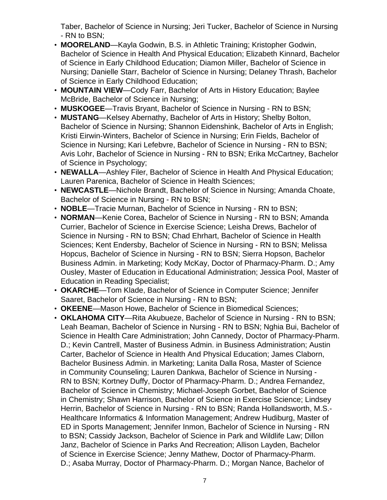Taber, Bachelor of Science in Nursing; Jeri Tucker, Bachelor of Science in Nursing - RN to BSN;

- **MOORELAND**—Kayla Godwin, B.S. in Athletic Training; Kristopher Godwin, Bachelor of Science in Health And Physical Education; Elizabeth Kinnard, Bachelor of Science in Early Childhood Education; Diamon Miller, Bachelor of Science in Nursing; Danielle Starr, Bachelor of Science in Nursing; Delaney Thrash, Bachelor of Science in Early Childhood Education;
- **MOUNTAIN VIEW**—Cody Farr, Bachelor of Arts in History Education; Baylee McBride, Bachelor of Science in Nursing;
- **MUSKOGEE**—Travis Bryant, Bachelor of Science in Nursing RN to BSN;
- **MUSTANG**—Kelsey Abernathy, Bachelor of Arts in History; Shelby Bolton, Bachelor of Science in Nursing; Shannon Eidenshink, Bachelor of Arts in English; Kristi Eirwin-Winters, Bachelor of Science in Nursing; Erin Fields, Bachelor of Science in Nursing; Kari Lefebvre, Bachelor of Science in Nursing - RN to BSN; Avis Lohr, Bachelor of Science in Nursing - RN to BSN; Erika McCartney, Bachelor of Science in Psychology;
- **NEWALLA**—Ashley Filer, Bachelor of Science in Health And Physical Education; Lauren Parenica, Bachelor of Science in Health Sciences;
- **NEWCASTLE**—Nichole Brandt, Bachelor of Science in Nursing; Amanda Choate, Bachelor of Science in Nursing - RN to BSN;
- **NOBLE**—Tracie Murnan, Bachelor of Science in Nursing RN to BSN;
- **NORMAN**—Kenie Corea, Bachelor of Science in Nursing RN to BSN; Amanda Currier, Bachelor of Science in Exercise Science; Leisha Drews, Bachelor of Science in Nursing - RN to BSN; Chad Ehrhart, Bachelor of Science in Health Sciences; Kent Endersby, Bachelor of Science in Nursing - RN to BSN; Melissa Hopcus, Bachelor of Science in Nursing - RN to BSN; Sierra Hopson, Bachelor Business Admin. in Marketing; Kody McKay, Doctor of Pharmacy-Pharm. D.; Amy Ousley, Master of Education in Educational Administration; Jessica Pool, Master of Education in Reading Specialist;
- **OKARCHE**—Tom Klade, Bachelor of Science in Computer Science; Jennifer Saaret, Bachelor of Science in Nursing - RN to BSN;
- **OKEENE**—Mason Howe, Bachelor of Science in Biomedical Sciences;
- **OKLAHOMA CITY**—Rita Akubueze, Bachelor of Science in Nursing RN to BSN; Leah Beaman, Bachelor of Science in Nursing - RN to BSN; Nghia Bui, Bachelor of Science in Health Care Administration; John Cannedy, Doctor of Pharmacy-Pharm. D.; Kevin Cantrell, Master of Business Admin. in Business Administration; Austin Carter, Bachelor of Science in Health And Physical Education; James Claborn, Bachelor Business Admin. in Marketing; Lanita Dalla Rosa, Master of Science in Community Counseling; Lauren Dankwa, Bachelor of Science in Nursing - RN to BSN; Kortney Duffy, Doctor of Pharmacy-Pharm. D.; Andrea Fernandez, Bachelor of Science in Chemistry; Michael-Joseph Gorbet, Bachelor of Science in Chemistry; Shawn Harrison, Bachelor of Science in Exercise Science; Lindsey Herrin, Bachelor of Science in Nursing - RN to BSN; Randa Hollandsworth, M.S.- Healthcare Informatics & Information Management; Andrew Hudiburg, Master of ED in Sports Management; Jennifer Inmon, Bachelor of Science in Nursing - RN to BSN; Cassidy Jackson, Bachelor of Science in Park and Wildlife Law; Dillon Janz, Bachelor of Science in Parks And Recreation; Allison Layden, Bachelor of Science in Exercise Science; Jenny Mathew, Doctor of Pharmacy-Pharm. D.; Asaba Murray, Doctor of Pharmacy-Pharm. D.; Morgan Nance, Bachelor of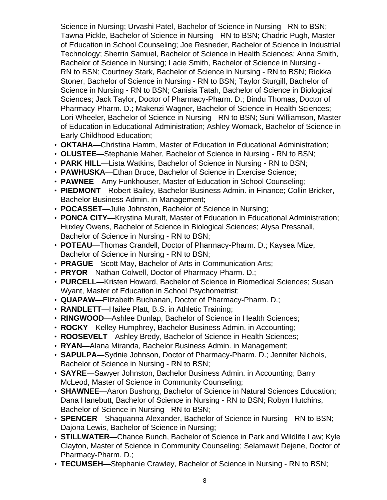Science in Nursing; Urvashi Patel, Bachelor of Science in Nursing - RN to BSN; Tawna Pickle, Bachelor of Science in Nursing - RN to BSN; Chadric Pugh, Master of Education in School Counseling; Joe Resneder, Bachelor of Science in Industrial Technology; Sherrin Samuel, Bachelor of Science in Health Sciences; Anna Smith, Bachelor of Science in Nursing; Lacie Smith, Bachelor of Science in Nursing - RN to BSN; Courtney Stark, Bachelor of Science in Nursing - RN to BSN; Rickka Stoner, Bachelor of Science in Nursing - RN to BSN; Taylor Sturgill, Bachelor of Science in Nursing - RN to BSN; Canisia Tatah, Bachelor of Science in Biological Sciences; Jack Taylor, Doctor of Pharmacy-Pharm. D.; Bindu Thomas, Doctor of Pharmacy-Pharm. D.; Makenzi Wagner, Bachelor of Science in Health Sciences; Lori Wheeler, Bachelor of Science in Nursing - RN to BSN; Suni Williamson, Master of Education in Educational Administration; Ashley Womack, Bachelor of Science in Early Childhood Education;

- **OKTAHA**—Christina Hamm, Master of Education in Educational Administration;
- **OLUSTEE**—Stephanie Maher, Bachelor of Science in Nursing RN to BSN;
- **PARK HILL**—Lista Watkins, Bachelor of Science in Nursing RN to BSN;
- **PAWHUSKA**—Ethan Bruce, Bachelor of Science in Exercise Science;
- **PAWNEE**—Amy Funkhouser, Master of Education in School Counseling;
- **PIEDMONT**—Robert Bailey, Bachelor Business Admin. in Finance; Collin Bricker, Bachelor Business Admin. in Management;
- **POCASSET**—Julie Johnston, Bachelor of Science in Nursing;
- **PONCA CITY**—Krystina Muralt, Master of Education in Educational Administration; Huxley Owens, Bachelor of Science in Biological Sciences; Alysa Pressnall, Bachelor of Science in Nursing - RN to BSN;
- **POTEAU**—Thomas Crandell, Doctor of Pharmacy-Pharm. D.; Kaysea Mize, Bachelor of Science in Nursing - RN to BSN;
- **PRAGUE**—Scott May, Bachelor of Arts in Communication Arts;
- **PRYOR**—Nathan Colwell, Doctor of Pharmacy-Pharm. D.;
- **PURCELL**—Kristen Howard, Bachelor of Science in Biomedical Sciences; Susan Wyant, Master of Education in School Psychometrist;
- **QUAPAW**—Elizabeth Buchanan, Doctor of Pharmacy-Pharm. D.;
- **RANDLETT**—Hailee Platt, B.S. in Athletic Training;
- **RINGWOOD**—Ashlee Dunlap, Bachelor of Science in Health Sciences;
- **ROCKY**—Kelley Humphrey, Bachelor Business Admin. in Accounting;
- **ROOSEVELT**—Ashley Bredy, Bachelor of Science in Health Sciences;
- **RYAN**—Alana Miranda, Bachelor Business Admin. in Management;
- **SAPULPA**—Sydnie Johnson, Doctor of Pharmacy-Pharm. D.; Jennifer Nichols, Bachelor of Science in Nursing - RN to BSN;
- **SAYRE**—Sawyer Johnston, Bachelor Business Admin. in Accounting; Barry McLeod, Master of Science in Community Counseling;
- **SHAWNEE**—Aaron Bushong, Bachelor of Science in Natural Sciences Education; Dana Hanebutt, Bachelor of Science in Nursing - RN to BSN; Robyn Hutchins, Bachelor of Science in Nursing - RN to BSN;
- **SPENCER**—Shaquanna Alexander, Bachelor of Science in Nursing RN to BSN; Dajona Lewis, Bachelor of Science in Nursing;
- **STILLWATER**—Chance Bunch, Bachelor of Science in Park and Wildlife Law; Kyle Clayton, Master of Science in Community Counseling; Selamawit Dejene, Doctor of Pharmacy-Pharm. D.;
- **TECUMSEH**—Stephanie Crawley, Bachelor of Science in Nursing RN to BSN;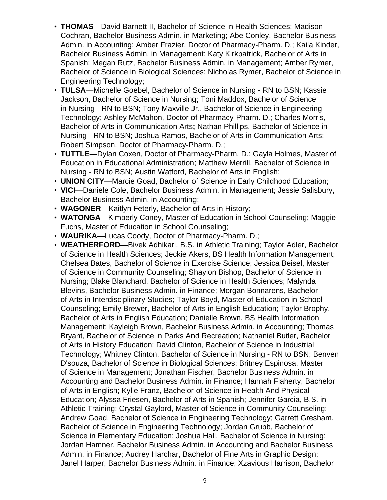- **THOMAS**—David Barnett II, Bachelor of Science in Health Sciences; Madison Cochran, Bachelor Business Admin. in Marketing; Abe Conley, Bachelor Business Admin. in Accounting; Amber Frazier, Doctor of Pharmacy-Pharm. D.; Kaila Kinder, Bachelor Business Admin. in Management; Katy Kirkpatrick, Bachelor of Arts in Spanish; Megan Rutz, Bachelor Business Admin. in Management; Amber Rymer, Bachelor of Science in Biological Sciences; Nicholas Rymer, Bachelor of Science in Engineering Technology;
- **TULSA**—Michelle Goebel, Bachelor of Science in Nursing RN to BSN; Kassie Jackson, Bachelor of Science in Nursing; Toni Maddox, Bachelor of Science in Nursing - RN to BSN; Tony Maxville Jr., Bachelor of Science in Engineering Technology; Ashley McMahon, Doctor of Pharmacy-Pharm. D.; Charles Morris, Bachelor of Arts in Communication Arts; Nathan Phillips, Bachelor of Science in Nursing - RN to BSN; Joshua Ramos, Bachelor of Arts in Communication Arts; Robert Simpson, Doctor of Pharmacy-Pharm. D.;
- **TUTTLE**—Dylan Coxen, Doctor of Pharmacy-Pharm. D.; Gayla Holmes, Master of Education in Educational Administration; Matthew Merrill, Bachelor of Science in Nursing - RN to BSN; Austin Watford, Bachelor of Arts in English;
- **UNION CITY**—Marcie Goad, Bachelor of Science in Early Childhood Education;
- **VICI**—Daniele Cole, Bachelor Business Admin. in Management; Jessie Salisbury, Bachelor Business Admin. in Accounting;
- **WAGONER**—Kaitlyn Feterly, Bachelor of Arts in History;
- **WATONGA**—Kimberly Coney, Master of Education in School Counseling; Maggie Fuchs, Master of Education in School Counseling;
- **WAURIKA**—Lucas Coody, Doctor of Pharmacy-Pharm. D.;
- **WEATHERFORD**—Bivek Adhikari, B.S. in Athletic Training; Taylor Adler, Bachelor of Science in Health Sciences; Jeckie Akers, BS Health Information Management; Chelsea Bates, Bachelor of Science in Exercise Science; Jessica Beisel, Master of Science in Community Counseling; Shaylon Bishop, Bachelor of Science in Nursing; Blake Blanchard, Bachelor of Science in Health Sciences; Malynda Blevins, Bachelor Business Admin. in Finance; Morgan Bonnarens, Bachelor of Arts in Interdisciplinary Studies; Taylor Boyd, Master of Education in School Counseling; Emily Brewer, Bachelor of Arts in English Education; Taylor Brophy, Bachelor of Arts in English Education; Danielle Brown, BS Health Information Management; Kayleigh Brown, Bachelor Business Admin. in Accounting; Thomas Bryant, Bachelor of Science in Parks And Recreation; Nathaniel Butler, Bachelor of Arts in History Education; David Clinton, Bachelor of Science in Industrial Technology; Whitney Clinton, Bachelor of Science in Nursing - RN to BSN; Benven D'souza, Bachelor of Science in Biological Sciences; Britney Espinosa, Master of Science in Management; Jonathan Fischer, Bachelor Business Admin. in Accounting and Bachelor Business Admin. in Finance; Hannah Flaherty, Bachelor of Arts in English; Kylie Franz, Bachelor of Science in Health And Physical Education; Alyssa Friesen, Bachelor of Arts in Spanish; Jennifer Garcia, B.S. in Athletic Training; Crystal Gaylord, Master of Science in Community Counseling; Andrew Goad, Bachelor of Science in Engineering Technology; Garrett Gresham, Bachelor of Science in Engineering Technology; Jordan Grubb, Bachelor of Science in Elementary Education; Joshua Hall, Bachelor of Science in Nursing; Jordan Hamner, Bachelor Business Admin. in Accounting and Bachelor Business Admin. in Finance; Audrey Harchar, Bachelor of Fine Arts in Graphic Design; Janel Harper, Bachelor Business Admin. in Finance; Xzavious Harrison, Bachelor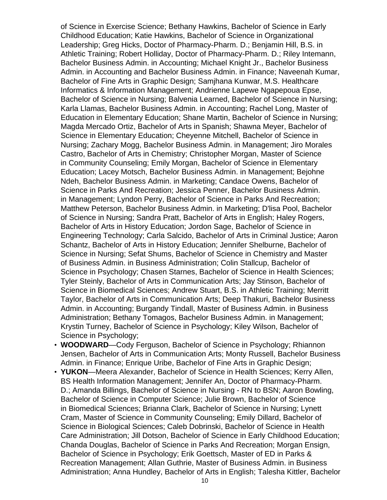of Science in Exercise Science; Bethany Hawkins, Bachelor of Science in Early Childhood Education; Katie Hawkins, Bachelor of Science in Organizational Leadership; Greg Hicks, Doctor of Pharmacy-Pharm. D.; Benjamin Hill, B.S. in Athletic Training; Robert Holliday, Doctor of Pharmacy-Pharm. D.; Riley Intemann, Bachelor Business Admin. in Accounting; Michael Knight Jr., Bachelor Business Admin. in Accounting and Bachelor Business Admin. in Finance; Naveenah Kumar, Bachelor of Fine Arts in Graphic Design; Samjhana Kunwar, M.S. Healthcare Informatics & Information Management; Andrienne Lapewe Ngapepoua Epse, Bachelor of Science in Nursing; Balvenia Learned, Bachelor of Science in Nursing; Karla Llamas, Bachelor Business Admin. in Accounting; Rachel Long, Master of Education in Elementary Education; Shane Martin, Bachelor of Science in Nursing; Magda Mercado Ortiz, Bachelor of Arts in Spanish; Shawna Meyer, Bachelor of Science in Elementary Education; Cheyenne Mitchell, Bachelor of Science in Nursing; Zachary Mogg, Bachelor Business Admin. in Management; Jiro Morales Castro, Bachelor of Arts in Chemistry; Christopher Morgan, Master of Science in Community Counseling; Emily Morgan, Bachelor of Science in Elementary Education; Lacey Motsch, Bachelor Business Admin. in Management; Bejohne Ndeh, Bachelor Business Admin. in Marketing; Candace Owens, Bachelor of Science in Parks And Recreation; Jessica Penner, Bachelor Business Admin. in Management; Lyndon Perry, Bachelor of Science in Parks And Recreation; Matthew Peterson, Bachelor Business Admin. in Marketing; D'lisa Pool, Bachelor of Science in Nursing; Sandra Pratt, Bachelor of Arts in English; Haley Rogers, Bachelor of Arts in History Education; Jordon Sage, Bachelor of Science in Engineering Technology; Carla Salcido, Bachelor of Arts in Criminal Justice; Aaron Schantz, Bachelor of Arts in History Education; Jennifer Shelburne, Bachelor of Science in Nursing; Sefat Shums, Bachelor of Science in Chemistry and Master of Business Admin. in Business Administration; Colin Stallcup, Bachelor of Science in Psychology; Chasen Starnes, Bachelor of Science in Health Sciences; Tyler Steinly, Bachelor of Arts in Communication Arts; Jay Stinson, Bachelor of Science in Biomedical Sciences; Andrew Stuart, B.S. in Athletic Training; Merritt Taylor, Bachelor of Arts in Communication Arts; Deep Thakuri, Bachelor Business Admin. in Accounting; Burgandy Tindall, Master of Business Admin. in Business Administration; Bethany Tomagos, Bachelor Business Admin. in Management; Krystin Turney, Bachelor of Science in Psychology; Kiley Wilson, Bachelor of Science in Psychology;

- **WOODWARD**—Cody Ferguson, Bachelor of Science in Psychology; Rhiannon Jensen, Bachelor of Arts in Communication Arts; Monty Russell, Bachelor Business Admin. in Finance; Enrique Uribe, Bachelor of Fine Arts in Graphic Design;
- **YUKON**—Meera Alexander, Bachelor of Science in Health Sciences; Kerry Allen, BS Health Information Management; Jennifer An, Doctor of Pharmacy-Pharm. D.; Amanda Billings, Bachelor of Science in Nursing - RN to BSN; Aaron Bowling, Bachelor of Science in Computer Science; Julie Brown, Bachelor of Science in Biomedical Sciences; Brianna Clark, Bachelor of Science in Nursing; Lynett Cram, Master of Science in Community Counseling; Emily Dillard, Bachelor of Science in Biological Sciences; Caleb Dobrinski, Bachelor of Science in Health Care Administration; Jill Dotson, Bachelor of Science in Early Childhood Education; Chanda Douglas, Bachelor of Science in Parks And Recreation; Morgan Ensign, Bachelor of Science in Psychology; Erik Goettsch, Master of ED in Parks & Recreation Management; Allan Guthrie, Master of Business Admin. in Business Administration; Anna Hundley, Bachelor of Arts in English; Talesha Kittler, Bachelor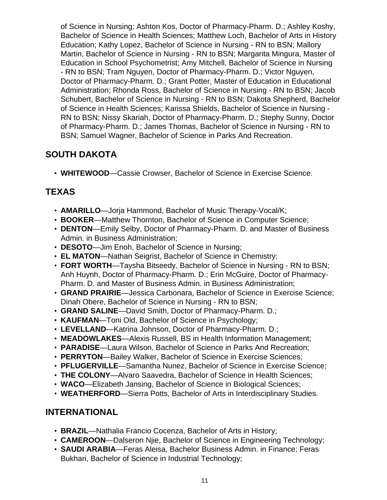of Science in Nursing; Ashton Kos, Doctor of Pharmacy-Pharm. D.; Ashley Koshy, Bachelor of Science in Health Sciences; Matthew Loch, Bachelor of Arts in History Education; Kathy Lopez, Bachelor of Science in Nursing - RN to BSN; Mallory Martin, Bachelor of Science in Nursing - RN to BSN; Margarita Mingura, Master of Education in School Psychometrist; Amy Mitchell, Bachelor of Science in Nursing - RN to BSN; Tram Nguyen, Doctor of Pharmacy-Pharm. D.; Victor Nguyen, Doctor of Pharmacy-Pharm. D.; Grant Potter, Master of Education in Educational Administration; Rhonda Ross, Bachelor of Science in Nursing - RN to BSN; Jacob Schubert, Bachelor of Science in Nursing - RN to BSN; Dakota Shepherd, Bachelor of Science in Health Sciences; Karissa Shields, Bachelor of Science in Nursing - RN to BSN; Nissy Skariah, Doctor of Pharmacy-Pharm. D.; Stephy Sunny, Doctor of Pharmacy-Pharm. D.; James Thomas, Bachelor of Science in Nursing - RN to BSN; Samuel Wagner, Bachelor of Science in Parks And Recreation.

# **SOUTH DAKOTA**

• **WHITEWOOD**—Cassie Crowser, Bachelor of Science in Exercise Science.

# **TEXAS**

- **AMARILLO**—Jorja Hammond, Bachelor of Music Therapy-Vocal/K;
- **BOOKER**—Matthew Thornton, Bachelor of Science in Computer Science;
- **DENTON**—Emily Selby, Doctor of Pharmacy-Pharm. D. and Master of Business Admin. in Business Administration;
- **DESOTO**—Jim Enoh, Bachelor of Science in Nursing;
- **EL MATON**—Nathan Seigrist, Bachelor of Science in Chemistry;
- **FORT WORTH**—Taysha Bitseedy, Bachelor of Science in Nursing RN to BSN; Anh Huynh, Doctor of Pharmacy-Pharm. D.; Erin McGuire, Doctor of Pharmacy-Pharm. D. and Master of Business Admin. in Business Administration;
- **GRAND PRAIRIE**—Jessica Carbonara, Bachelor of Science in Exercise Science; Dinah Obere, Bachelor of Science in Nursing - RN to BSN;
- **GRAND SALINE**—David Smith, Doctor of Pharmacy-Pharm. D.;
- **KAUFMAN**—Toni Old, Bachelor of Science in Psychology;
- **LEVELLAND**—Katrina Johnson, Doctor of Pharmacy-Pharm. D.;
- **MEADOWLAKES**—Alexis Russell, BS in Health Information Management;
- **PARADISE**—Laura Wilson, Bachelor of Science in Parks And Recreation;
- **PERRYTON**—Bailey Walker, Bachelor of Science in Exercise Sciences;
- **PFLUGERVILLE**—Samantha Nunez, Bachelor of Science in Exercise Science;
- **THE COLONY**—Alvaro Saavedra, Bachelor of Science in Health Sciences;
- **WACO**—Elizabeth Jansing, Bachelor of Science in Biological Sciences;
- **WEATHERFORD**—Sierra Potts, Bachelor of Arts in Interdisciplinary Studies.

# **INTERNATIONAL**

- **BRAZIL**—Nathalia Francio Cocenza, Bachelor of Arts in History;
- **CAMEROON**—Dalseron Njie, Bachelor of Science in Engineering Technology;
- **SAUDI ARABIA**—Feras Aleisa, Bachelor Business Admin. in Finance; Feras Bukhari, Bachelor of Science in Industrial Technology;